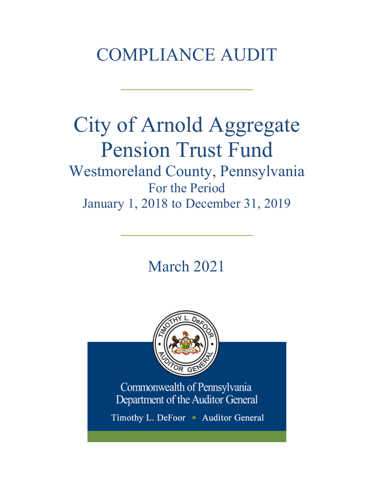# COMPLIANCE AUDIT

 $\frac{1}{2}$ 

# City of Arnold Aggregate Pension Trust Fund Westmoreland County, Pennsylvania For the Period January 1, 2018 to December 31, 2019

March 2021

 $\frac{1}{2}$ 

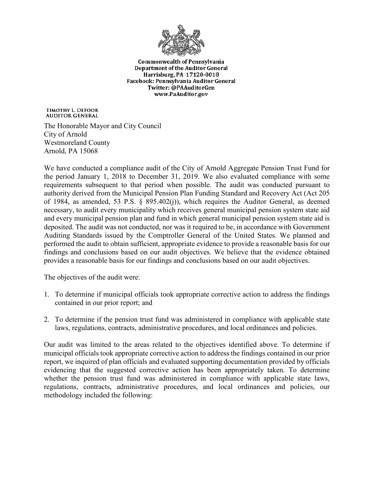

**Commonwealth of Pennsylvania Department of the Auditor General** Harrisburg, PA 17120-0018 Facebook: Pennsylvania Auditor General Twitter: @PAAuditorGen www.PaAuditor.gov

TIMOTHY L. DEFOOR **AUDITOR GENERAL** 

The Honorable Mayor and City Council City of Arnold Westmoreland County Arnold, PA 15068

We have conducted a compliance audit of the City of Arnold Aggregate Pension Trust Fund for the period January 1, 2018 to December 31, 2019. We also evaluated compliance with some requirements subsequent to that period when possible. The audit was conducted pursuant to authority derived from the Municipal Pension Plan Funding Standard and Recovery Act (Act 205 of 1984, as amended, 53 P.S. § 895.402(j)), which requires the Auditor General, as deemed necessary, to audit every municipality which receives general municipal pension system state aid and every municipal pension plan and fund in which general municipal pension system state aid is deposited. The audit was not conducted, nor was it required to be, in accordance with Government Auditing Standards issued by the Comptroller General of the United States. We planned and performed the audit to obtain sufficient, appropriate evidence to provide a reasonable basis for our findings and conclusions based on our audit objectives. We believe that the evidence obtained provides a reasonable basis for our findings and conclusions based on our audit objectives.

The objectives of the audit were:

- 1. To determine if municipal officials took appropriate corrective action to address the findings contained in our prior report; and
- 2. To determine if the pension trust fund was administered in compliance with applicable state laws, regulations, contracts, administrative procedures, and local ordinances and policies.

Our audit was limited to the areas related to the objectives identified above. To determine if municipal officials took appropriate corrective action to address the findings contained in our prior report, we inquired of plan officials and evaluated supporting documentation provided by officials evidencing that the suggested corrective action has been appropriately taken. To determine whether the pension trust fund was administered in compliance with applicable state laws, regulations, contracts, administrative procedures, and local ordinances and policies, our methodology included the following: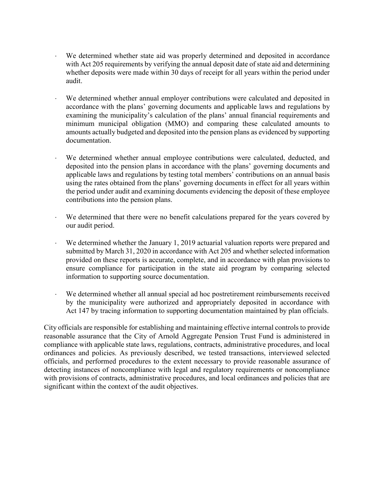- We determined whether state aid was properly determined and deposited in accordance with Act 205 requirements by verifying the annual deposit date of state aid and determining whether deposits were made within 30 days of receipt for all years within the period under audit.
- We determined whether annual employer contributions were calculated and deposited in accordance with the plans' governing documents and applicable laws and regulations by examining the municipality's calculation of the plans' annual financial requirements and minimum municipal obligation (MMO) and comparing these calculated amounts to amounts actually budgeted and deposited into the pension plans as evidenced by supporting documentation.
- We determined whether annual employee contributions were calculated, deducted, and deposited into the pension plans in accordance with the plans' governing documents and applicable laws and regulations by testing total members' contributions on an annual basis using the rates obtained from the plans' governing documents in effect for all years within the period under audit and examining documents evidencing the deposit of these employee contributions into the pension plans.
- ⋅ We determined that there were no benefit calculations prepared for the years covered by our audit period.
- We determined whether the January 1, 2019 actuarial valuation reports were prepared and submitted by March 31, 2020 in accordance with Act 205 and whether selected information provided on these reports is accurate, complete, and in accordance with plan provisions to ensure compliance for participation in the state aid program by comparing selected information to supporting source documentation.
- ⋅ We determined whether all annual special ad hoc postretirement reimbursements received by the municipality were authorized and appropriately deposited in accordance with Act 147 by tracing information to supporting documentation maintained by plan officials.

City officials are responsible for establishing and maintaining effective internal controls to provide reasonable assurance that the City of Arnold Aggregate Pension Trust Fund is administered in compliance with applicable state laws, regulations, contracts, administrative procedures, and local ordinances and policies. As previously described, we tested transactions, interviewed selected officials, and performed procedures to the extent necessary to provide reasonable assurance of detecting instances of noncompliance with legal and regulatory requirements or noncompliance with provisions of contracts, administrative procedures, and local ordinances and policies that are significant within the context of the audit objectives.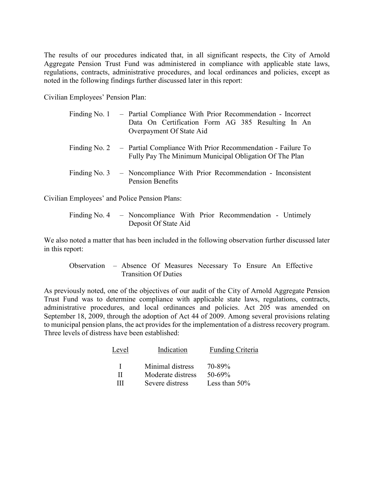The results of our procedures indicated that, in all significant respects, the City of Arnold Aggregate Pension Trust Fund was administered in compliance with applicable state laws, regulations, contracts, administrative procedures, and local ordinances and policies, except as noted in the following findings further discussed later in this report:

Civilian Employees' Pension Plan:

| Finding No. 1 – Partial Compliance With Prior Recommendation - Incorrect<br>Data On Certification Form AG 385 Resulting In An<br>Overpayment Of State Aid |
|-----------------------------------------------------------------------------------------------------------------------------------------------------------|
| Finding No. 2 – Partial Compliance With Prior Recommendation - Failure To<br>Fully Pay The Minimum Municipal Obligation Of The Plan                       |
| Finding No. 3 - Noncompliance With Prior Recommendation - Inconsistent<br>Pension Benefits                                                                |

Civilian Employees' and Police Pension Plans:

|  |                      |  | Finding No. 4 – Noncompliance With Prior Recommendation - Untimely |  |
|--|----------------------|--|--------------------------------------------------------------------|--|
|  | Deposit Of State Aid |  |                                                                    |  |

We also noted a matter that has been included in the following observation further discussed later in this report:

Observation – Absence Of Measures Necessary To Ensure An Effective Transition Of Duties

As previously noted, one of the objectives of our audit of the City of Arnold Aggregate Pension Trust Fund was to determine compliance with applicable state laws, regulations, contracts, administrative procedures, and local ordinances and policies. Act 205 was amended on September 18, 2009, through the adoption of Act 44 of 2009. Among several provisions relating to municipal pension plans, the act provides for the implementation of a distress recovery program. Three levels of distress have been established:

| Level | Indication        | Funding Criteria |
|-------|-------------------|------------------|
| L.    | Minimal distress  | 70-89%           |
| Н     | Moderate distress | $50 - 69\%$      |
| Ш     | Severe distress   | Less than $50\%$ |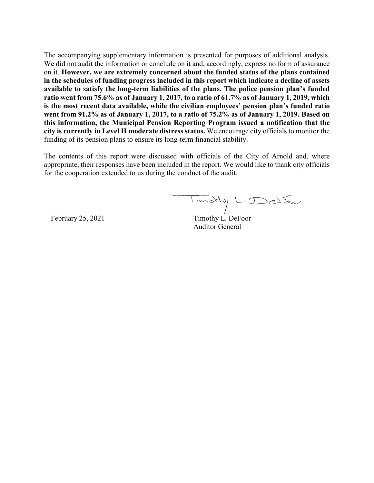The accompanying supplementary information is presented for purposes of additional analysis. We did not audit the information or conclude on it and, accordingly, express no form of assurance on it. **However, we are extremely concerned about the funded status of the plans contained in the schedules of funding progress included in this report which indicate a decline of assets available to satisfy the long-term liabilities of the plans. The police pension plan's funded ratio went from 75.6% as of January 1, 2017, to a ratio of 61.7% as of January 1, 2019, which is the most recent data available, while the civilian employees' pension plan's funded ratio went from 91.2% as of January 1, 2017, to a ratio of 75.2% as of January 1, 2019. Based on this information, the Municipal Pension Reporting Program issued a notification that the city is currently in Level II moderate distress status.** We encourage city officials to monitor the funding of its pension plans to ensure its long-term financial stability.

The contents of this report were discussed with officials of the City of Arnold and, where appropriate, their responses have been included in the report. We would like to thank city officials for the cooperation extended to us during the conduct of the audit.

Timothy L. Detoor

February 25, 2021 Timothy L. DeFoor Auditor General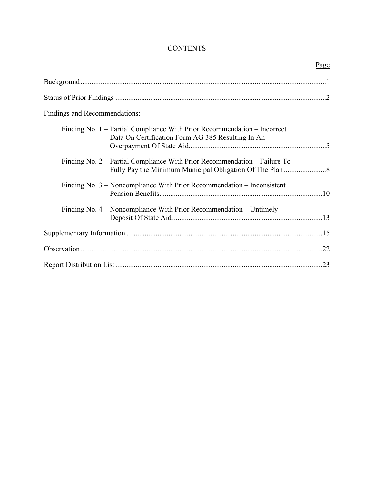# **CONTENTS**

|                                                                                                                               | Page |
|-------------------------------------------------------------------------------------------------------------------------------|------|
|                                                                                                                               |      |
|                                                                                                                               |      |
| Findings and Recommendations:                                                                                                 |      |
| Finding No. 1 – Partial Compliance With Prior Recommendation – Incorrect<br>Data On Certification Form AG 385 Resulting In An |      |
| Finding No. 2 – Partial Compliance With Prior Recommendation – Failure To                                                     |      |
| Finding No. $3$ – Noncompliance With Prior Recommendation – Inconsistent                                                      |      |
| Finding No. $4$ – Noncompliance With Prior Recommendation – Untimely                                                          |      |
|                                                                                                                               |      |
|                                                                                                                               |      |
|                                                                                                                               |      |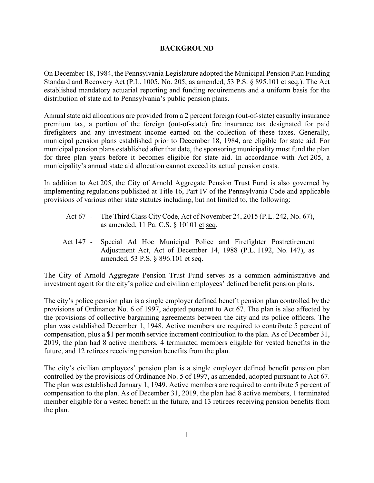#### **BACKGROUND**

On December 18, 1984, the Pennsylvania Legislature adopted the Municipal Pension Plan Funding Standard and Recovery Act (P.L. 1005, No. 205, as amended, 53 P.S. § 895.101 et seq.). The Act established mandatory actuarial reporting and funding requirements and a uniform basis for the distribution of state aid to Pennsylvania's public pension plans.

Annual state aid allocations are provided from a 2 percent foreign (out-of-state) casualty insurance premium tax, a portion of the foreign (out-of-state) fire insurance tax designated for paid firefighters and any investment income earned on the collection of these taxes. Generally, municipal pension plans established prior to December 18, 1984, are eligible for state aid. For municipal pension plans established after that date, the sponsoring municipality must fund the plan for three plan years before it becomes eligible for state aid. In accordance with Act 205, a municipality's annual state aid allocation cannot exceed its actual pension costs.

In addition to Act 205, the City of Arnold Aggregate Pension Trust Fund is also governed by implementing regulations published at Title 16, Part IV of the Pennsylvania Code and applicable provisions of various other state statutes including, but not limited to, the following:

- Act 67 The Third Class City Code, Act of November 24, 2015 (P.L. 242, No. 67), as amended, 11 Pa. C.S. § 10101 et seq.
- Act 147 Special Ad Hoc Municipal Police and Firefighter Postretirement Adjustment Act, Act of December 14, 1988 (P.L. 1192, No. 147), as amended, 53 P.S. § 896.101 et seq.

The City of Arnold Aggregate Pension Trust Fund serves as a common administrative and investment agent for the city's police and civilian employees' defined benefit pension plans.

The city's police pension plan is a single employer defined benefit pension plan controlled by the provisions of Ordinance No. 6 of 1997, adopted pursuant to Act 67. The plan is also affected by the provisions of collective bargaining agreements between the city and its police officers. The plan was established December 1, 1948. Active members are required to contribute 5 percent of compensation, plus a \$1 per month service increment contribution to the plan. As of December 31, 2019, the plan had 8 active members, 4 terminated members eligible for vested benefits in the future, and 12 retirees receiving pension benefits from the plan.

The city's civilian employees' pension plan is a single employer defined benefit pension plan controlled by the provisions of Ordinance No. 5 of 1997, as amended, adopted pursuant to Act 67. The plan was established January 1, 1949. Active members are required to contribute 5 percent of compensation to the plan. As of December 31, 2019, the plan had 8 active members, 1 terminated member eligible for a vested benefit in the future, and 13 retirees receiving pension benefits from the plan.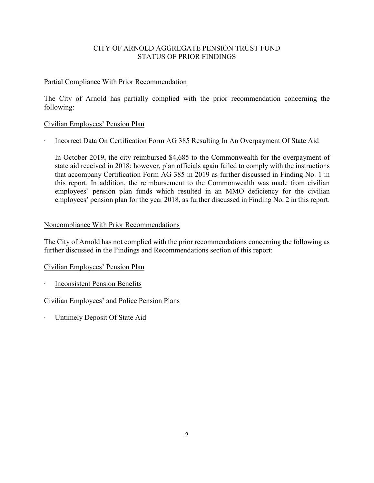## CITY OF ARNOLD AGGREGATE PENSION TRUST FUND STATUS OF PRIOR FINDINGS

#### Partial Compliance With Prior Recommendation

The City of Arnold has partially complied with the prior recommendation concerning the following:

## Civilian Employees' Pension Plan

## ∙ Incorrect Data On Certification Form AG 385 Resulting In An Overpayment Of State Aid

In October 2019, the city reimbursed \$4,685 to the Commonwealth for the overpayment of state aid received in 2018; however, plan officials again failed to comply with the instructions that accompany Certification Form AG 385 in 2019 as further discussed in Finding No. 1 in this report. In addition, the reimbursement to the Commonwealth was made from civilian employees' pension plan funds which resulted in an MMO deficiency for the civilian employees' pension plan for the year 2018, as further discussed in Finding No. 2 in this report.

#### Noncompliance With Prior Recommendations

The City of Arnold has not complied with the prior recommendations concerning the following as further discussed in the Findings and Recommendations section of this report:

#### Civilian Employees' Pension Plan

∙ Inconsistent Pension Benefits

Civilian Employees' and Police Pension Plans

∙ Untimely Deposit Of State Aid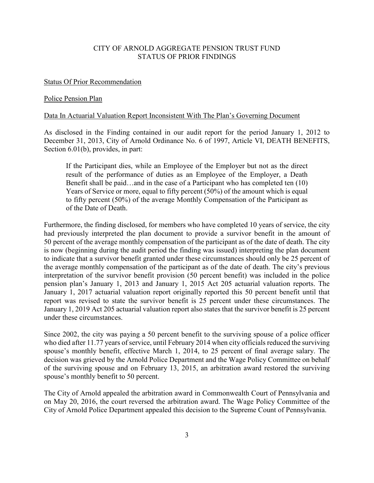#### CITY OF ARNOLD AGGREGATE PENSION TRUST FUND STATUS OF PRIOR FINDINGS

#### Status Of Prior Recommendation

#### Police Pension Plan

#### Data In Actuarial Valuation Report Inconsistent With The Plan's Governing Document

As disclosed in the Finding contained in our audit report for the period January 1, 2012 to December 31, 2013, City of Arnold Ordinance No. 6 of 1997, Article VI, DEATH BENEFITS, Section 6.01(b), provides, in part:

If the Participant dies, while an Employee of the Employer but not as the direct result of the performance of duties as an Employee of the Employer, a Death Benefit shall be paid…and in the case of a Participant who has completed ten (10) Years of Service or more, equal to fifty percent (50%) of the amount which is equal to fifty percent (50%) of the average Monthly Compensation of the Participant as of the Date of Death.

Furthermore, the finding disclosed, for members who have completed 10 years of service, the city had previously interpreted the plan document to provide a survivor benefit in the amount of 50 percent of the average monthly compensation of the participant as of the date of death. The city is now (beginning during the audit period the finding was issued) interpreting the plan document to indicate that a survivor benefit granted under these circumstances should only be 25 percent of the average monthly compensation of the participant as of the date of death. The city's previous interpretation of the survivor benefit provision (50 percent benefit) was included in the police pension plan's January 1, 2013 and January 1, 2015 Act 205 actuarial valuation reports. The January 1, 2017 actuarial valuation report originally reported this 50 percent benefit until that report was revised to state the survivor benefit is 25 percent under these circumstances. The January 1, 2019 Act 205 actuarial valuation report also states that the survivor benefit is 25 percent under these circumstances.

Since 2002, the city was paying a 50 percent benefit to the surviving spouse of a police officer who died after 11.77 years of service, until February 2014 when city officials reduced the surviving spouse's monthly benefit, effective March 1, 2014, to 25 percent of final average salary. The decision was grieved by the Arnold Police Department and the Wage Policy Committee on behalf of the surviving spouse and on February 13, 2015, an arbitration award restored the surviving spouse's monthly benefit to 50 percent.

The City of Arnold appealed the arbitration award in Commonwealth Court of Pennsylvania and on May 20, 2016, the court reversed the arbitration award. The Wage Policy Committee of the City of Arnold Police Department appealed this decision to the Supreme Count of Pennsylvania.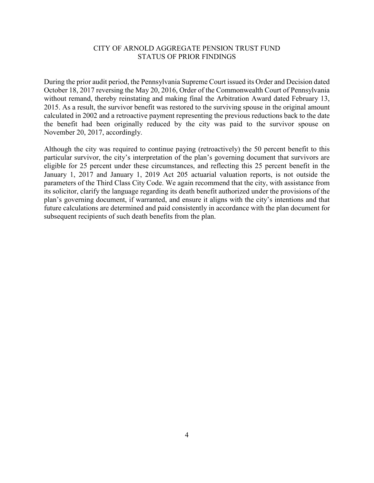#### CITY OF ARNOLD AGGREGATE PENSION TRUST FUND STATUS OF PRIOR FINDINGS

During the prior audit period, the Pennsylvania Supreme Court issued its Order and Decision dated October 18, 2017 reversing the May 20, 2016, Order of the Commonwealth Court of Pennsylvania without remand, thereby reinstating and making final the Arbitration Award dated February 13, 2015. As a result, the survivor benefit was restored to the surviving spouse in the original amount calculated in 2002 and a retroactive payment representing the previous reductions back to the date the benefit had been originally reduced by the city was paid to the survivor spouse on November 20, 2017, accordingly.

Although the city was required to continue paying (retroactively) the 50 percent benefit to this particular survivor, the city's interpretation of the plan's governing document that survivors are eligible for 25 percent under these circumstances, and reflecting this 25 percent benefit in the January 1, 2017 and January 1, 2019 Act 205 actuarial valuation reports, is not outside the parameters of the Third Class City Code. We again recommend that the city, with assistance from its solicitor, clarify the language regarding its death benefit authorized under the provisions of the plan's governing document, if warranted, and ensure it aligns with the city's intentions and that future calculations are determined and paid consistently in accordance with the plan document for subsequent recipients of such death benefits from the plan.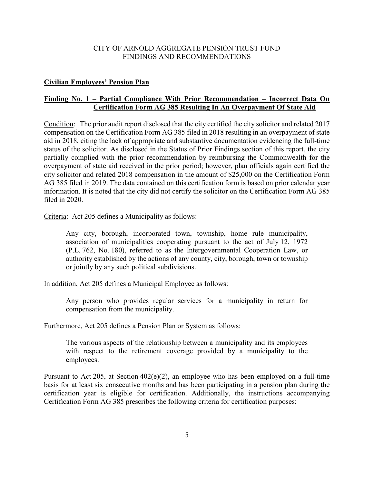#### **Civilian Employees' Pension Plan**

#### **Finding No. 1 – Partial Compliance With Prior Recommendation – Incorrect Data On Certification Form AG 385 Resulting In An Overpayment Of State Aid**

Condition: The prior audit report disclosed that the city certified the city solicitor and related 2017 compensation on the Certification Form AG 385 filed in 2018 resulting in an overpayment of state aid in 2018, citing the lack of appropriate and substantive documentation evidencing the full-time status of the solicitor. As disclosed in the Status of Prior Findings section of this report, the city partially complied with the prior recommendation by reimbursing the Commonwealth for the overpayment of state aid received in the prior period; however, plan officials again certified the city solicitor and related 2018 compensation in the amount of \$25,000 on the Certification Form AG 385 filed in 2019. The data contained on this certification form is based on prior calendar year information. It is noted that the city did not certify the solicitor on the Certification Form AG 385 filed in 2020.

Criteria: Act 205 defines a Municipality as follows:

Any city, borough, incorporated town, township, home rule municipality, association of municipalities cooperating pursuant to the act of July 12, 1972 (P.L. 762, No. 180), referred to as the Intergovernmental Cooperation Law, or authority established by the actions of any county, city, borough, town or township or jointly by any such political subdivisions.

In addition, Act 205 defines a Municipal Employee as follows:

Any person who provides regular services for a municipality in return for compensation from the municipality.

Furthermore, Act 205 defines a Pension Plan or System as follows:

The various aspects of the relationship between a municipality and its employees with respect to the retirement coverage provided by a municipality to the employees.

Pursuant to Act 205, at Section 402(e)(2), an employee who has been employed on a full-time basis for at least six consecutive months and has been participating in a pension plan during the certification year is eligible for certification. Additionally, the instructions accompanying Certification Form AG 385 prescribes the following criteria for certification purposes: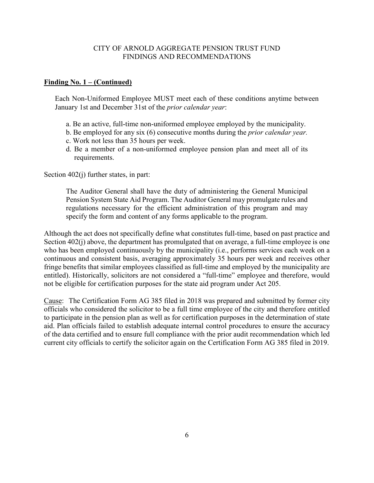#### **Finding No. 1 – (Continued)**

Each Non-Uniformed Employee MUST meet each of these conditions anytime between January 1st and December 31st of the *prior calendar year*:

- a. Be an active, full-time non-uniformed employee employed by the municipality.
- b. Be employed for any six (6) consecutive months during the *prior calendar year.*
- c. Work not less than 35 hours per week.
- d. Be a member of a non-uniformed employee pension plan and meet all of its requirements.

Section 402(j) further states, in part:

The Auditor General shall have the duty of administering the General Municipal Pension System State Aid Program. The Auditor General may promulgate rules and regulations necessary for the efficient administration of this program and may specify the form and content of any forms applicable to the program.

Although the act does not specifically define what constitutes full-time, based on past practice and Section 402(j) above, the department has promulgated that on average, a full-time employee is one who has been employed continuously by the municipality (i.e., performs services each week on a continuous and consistent basis, averaging approximately 35 hours per week and receives other fringe benefits that similar employees classified as full-time and employed by the municipality are entitled). Historically, solicitors are not considered a "full-time" employee and therefore, would not be eligible for certification purposes for the state aid program under Act 205.

Cause: The Certification Form AG 385 filed in 2018 was prepared and submitted by former city officials who considered the solicitor to be a full time employee of the city and therefore entitled to participate in the pension plan as well as for certification purposes in the determination of state aid. Plan officials failed to establish adequate internal control procedures to ensure the accuracy of the data certified and to ensure full compliance with the prior audit recommendation which led current city officials to certify the solicitor again on the Certification Form AG 385 filed in 2019.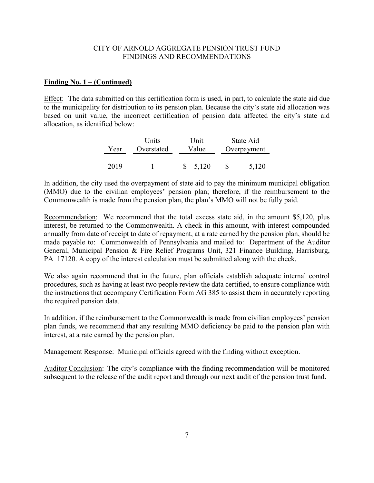#### **Finding No. 1 – (Continued)**

Effect: The data submitted on this certification form is used, in part, to calculate the state aid due to the municipality for distribution to its pension plan. Because the city's state aid allocation was based on unit value, the incorrect certification of pension data affected the city's state aid allocation, as identified below:

|      | <b>Units</b> | I Init | State Aid |             |  |
|------|--------------|--------|-----------|-------------|--|
| Year | Overstated   | Value  |           | Overpayment |  |
|      |              |        |           |             |  |
| 2019 |              | 5.120  |           | 5,120       |  |

In addition, the city used the overpayment of state aid to pay the minimum municipal obligation (MMO) due to the civilian employees' pension plan; therefore, if the reimbursement to the Commonwealth is made from the pension plan, the plan's MMO will not be fully paid.

Recommendation: We recommend that the total excess state aid, in the amount \$5,120, plus interest, be returned to the Commonwealth. A check in this amount, with interest compounded annually from date of receipt to date of repayment, at a rate earned by the pension plan, should be made payable to: Commonwealth of Pennsylvania and mailed to: Department of the Auditor General, Municipal Pension & Fire Relief Programs Unit, 321 Finance Building, Harrisburg, PA 17120. A copy of the interest calculation must be submitted along with the check.

We also again recommend that in the future, plan officials establish adequate internal control procedures, such as having at least two people review the data certified, to ensure compliance with the instructions that accompany Certification Form AG 385 to assist them in accurately reporting the required pension data.

In addition, if the reimbursement to the Commonwealth is made from civilian employees' pension plan funds, we recommend that any resulting MMO deficiency be paid to the pension plan with interest, at a rate earned by the pension plan.

Management Response: Municipal officials agreed with the finding without exception.

Auditor Conclusion: The city's compliance with the finding recommendation will be monitored subsequent to the release of the audit report and through our next audit of the pension trust fund.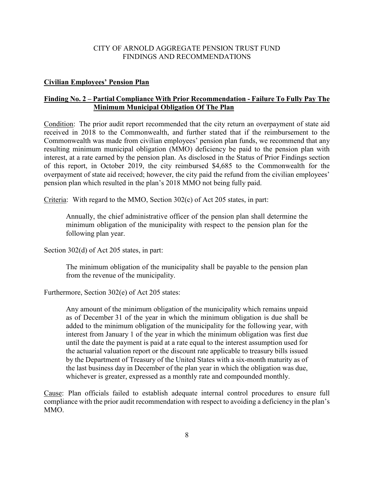#### **Civilian Employees' Pension Plan**

## **Finding No. 2 – Partial Compliance With Prior Recommendation - Failure To Fully Pay The Minimum Municipal Obligation Of The Plan**

Condition: The prior audit report recommended that the city return an overpayment of state aid received in 2018 to the Commonwealth, and further stated that if the reimbursement to the Commonwealth was made from civilian employees' pension plan funds, we recommend that any resulting minimum municipal obligation (MMO) deficiency be paid to the pension plan with interest, at a rate earned by the pension plan. As disclosed in the Status of Prior Findings section of this report, in October 2019, the city reimbursed \$4,685 to the Commonwealth for the overpayment of state aid received; however, the city paid the refund from the civilian employees' pension plan which resulted in the plan's 2018 MMO not being fully paid.

Criteria: With regard to the MMO, Section 302(c) of Act 205 states, in part:

Annually, the chief administrative officer of the pension plan shall determine the minimum obligation of the municipality with respect to the pension plan for the following plan year.

Section 302(d) of Act 205 states, in part:

The minimum obligation of the municipality shall be payable to the pension plan from the revenue of the municipality.

Furthermore, Section 302(e) of Act 205 states:

Any amount of the minimum obligation of the municipality which remains unpaid as of December 31 of the year in which the minimum obligation is due shall be added to the minimum obligation of the municipality for the following year, with interest from January 1 of the year in which the minimum obligation was first due until the date the payment is paid at a rate equal to the interest assumption used for the actuarial valuation report or the discount rate applicable to treasury bills issued by the Department of Treasury of the United States with a six-month maturity as of the last business day in December of the plan year in which the obligation was due, whichever is greater, expressed as a monthly rate and compounded monthly.

Cause: Plan officials failed to establish adequate internal control procedures to ensure full compliance with the prior audit recommendation with respect to avoiding a deficiency in the plan's MMO.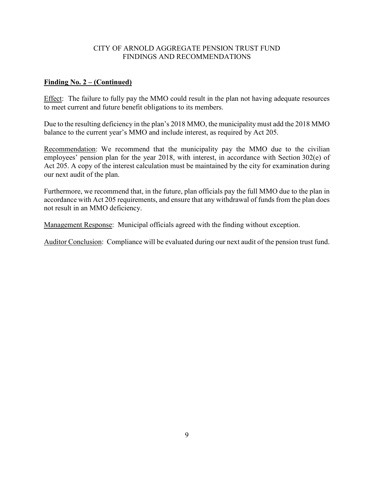#### **Finding No. 2 – (Continued)**

Effect: The failure to fully pay the MMO could result in the plan not having adequate resources to meet current and future benefit obligations to its members.

Due to the resulting deficiency in the plan's 2018 MMO, the municipality must add the 2018 MMO balance to the current year's MMO and include interest, as required by Act 205.

Recommendation: We recommend that the municipality pay the MMO due to the civilian employees' pension plan for the year 2018, with interest, in accordance with Section 302(e) of Act 205. A copy of the interest calculation must be maintained by the city for examination during our next audit of the plan.

Furthermore, we recommend that, in the future, plan officials pay the full MMO due to the plan in accordance with Act 205 requirements, and ensure that any withdrawal of funds from the plan does not result in an MMO deficiency.

Management Response: Municipal officials agreed with the finding without exception.

Auditor Conclusion: Compliance will be evaluated during our next audit of the pension trust fund.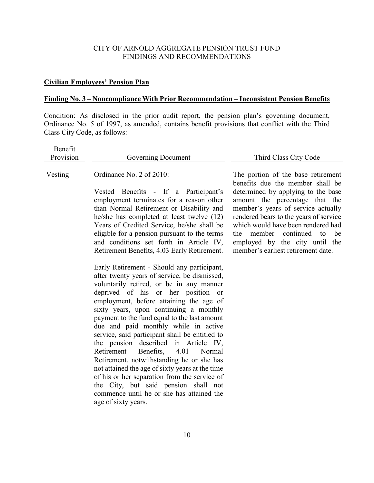## **Civilian Employees' Pension Plan**

## **Finding No. 3 – Noncompliance With Prior Recommendation – Inconsistent Pension Benefits**

Condition: As disclosed in the prior audit report, the pension plan's governing document, Ordinance No. 5 of 1997, as amended, contains benefit provisions that conflict with the Third Class City Code, as follows:

| Benefit<br>Provision | Governing Document                                                                                                                                                                                                                                                                                                                                                                                                                                                                                                                                                                                                                                                                           | Third Class City Code                                                                                                                                                                                                                                                                                                                         |
|----------------------|----------------------------------------------------------------------------------------------------------------------------------------------------------------------------------------------------------------------------------------------------------------------------------------------------------------------------------------------------------------------------------------------------------------------------------------------------------------------------------------------------------------------------------------------------------------------------------------------------------------------------------------------------------------------------------------------|-----------------------------------------------------------------------------------------------------------------------------------------------------------------------------------------------------------------------------------------------------------------------------------------------------------------------------------------------|
|                      |                                                                                                                                                                                                                                                                                                                                                                                                                                                                                                                                                                                                                                                                                              |                                                                                                                                                                                                                                                                                                                                               |
| Vesting              | Ordinance No. 2 of 2010:<br>Vested Benefits - If a Participant's<br>employment terminates for a reason other<br>than Normal Retirement or Disability and<br>he/she has completed at least twelve (12)<br>Years of Credited Service, he/she shall be<br>eligible for a pension pursuant to the terms<br>and conditions set forth in Article IV,                                                                                                                                                                                                                                                                                                                                               | The portion of the base retirement<br>benefits due the member shall be<br>determined by applying to the base<br>amount the percentage that the<br>member's years of service actually<br>rendered bears to the years of service<br>which would have been rendered had<br>continued to<br>member<br>the<br>be<br>employed by the city until the |
|                      | Retirement Benefits, 4.03 Early Retirement.<br>Early Retirement - Should any participant,<br>after twenty years of service, be dismissed,<br>voluntarily retired, or be in any manner<br>deprived of his or her position or<br>employment, before attaining the age of<br>sixty years, upon continuing a monthly<br>payment to the fund equal to the last amount<br>due and paid monthly while in active<br>service, said participant shall be entitled to<br>the pension described in Article IV,<br>Retirement<br>Benefits, 4.01<br>Normal<br>Retirement, notwithstanding he or she has<br>not attained the age of sixty years at the time<br>of his or her separation from the service of | member's earliest retirement date.                                                                                                                                                                                                                                                                                                            |

10

the City, but said pension shall not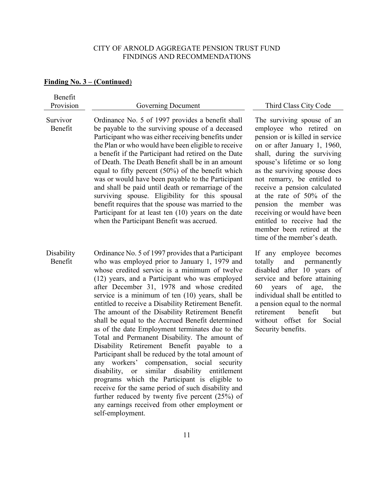#### **Finding No. 3 – (Continued**)

Benefit Provision Governing Document Third Class City Code Survivor Benefit Ordinance No. 5 of 1997 provides a benefit shall be payable to the surviving spouse of a deceased Participant who was either receiving benefits under the Plan or who would have been eligible to receive a benefit if the Participant had retired on the Date of Death. The Death Benefit shall be in an amount equal to fifty percent (50%) of the benefit which was or would have been payable to the Participant and shall be paid until death or remarriage of the surviving spouse. Eligibility for this spousal benefit requires that the spouse was married to the Participant for at least ten (10) years on the date when the Participant Benefit was accrued. The surviving spouse of an employee who retired on pension or is killed in service on or after January 1, 1960, shall, during the surviving spouse's lifetime or so long as the surviving spouse does not remarry, be entitled to receive a pension calculated at the rate of 50% of the pension the member was receiving or would have been entitled to receive had the member been retired at the time of the member's death. **Disability** Benefit Ordinance No. 5 of 1997 provides that a Participant who was employed prior to January 1, 1979 and whose credited service is a minimum of twelve If any employee becomes totally and permanently disabled after 10 years of service and before attaining

> 60 years of age, the individual shall be entitled to a pension equal to the normal retirement benefit but without offset for Social

Security benefits.

(12) years, and a Participant who was employed after December 31, 1978 and whose credited service is a minimum of ten (10) years, shall be entitled to receive a Disability Retirement Benefit. The amount of the Disability Retirement Benefit shall be equal to the Accrued Benefit determined as of the date Employment terminates due to the Total and Permanent Disability. The amount of Disability Retirement Benefit payable to a Participant shall be reduced by the total amount of any workers' compensation, social security disability, or similar disability entitlement programs which the Participant is eligible to receive for the same period of such disability and further reduced by twenty five percent (25%) of any earnings received from other employment or self-employment.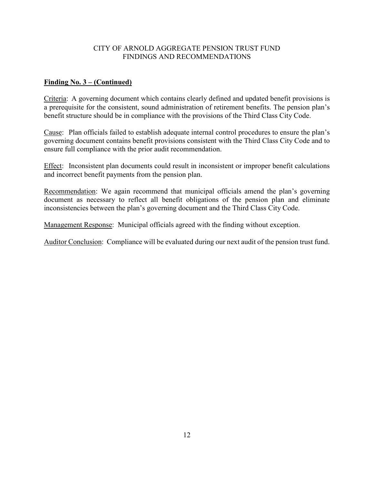## **Finding No. 3 – (Continued)**

Criteria: A governing document which contains clearly defined and updated benefit provisions is a prerequisite for the consistent, sound administration of retirement benefits. The pension plan's benefit structure should be in compliance with the provisions of the Third Class City Code.

Cause: Plan officials failed to establish adequate internal control procedures to ensure the plan's governing document contains benefit provisions consistent with the Third Class City Code and to ensure full compliance with the prior audit recommendation.

Effect: Inconsistent plan documents could result in inconsistent or improper benefit calculations and incorrect benefit payments from the pension plan.

Recommendation: We again recommend that municipal officials amend the plan's governing document as necessary to reflect all benefit obligations of the pension plan and eliminate inconsistencies between the plan's governing document and the Third Class City Code.

Management Response: Municipal officials agreed with the finding without exception.

Auditor Conclusion: Compliance will be evaluated during our next audit of the pension trust fund.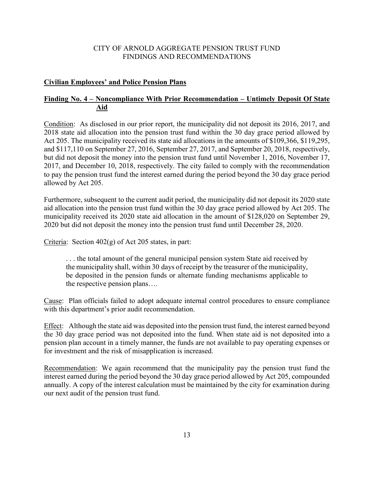#### **Civilian Employees' and Police Pension Plans**

## **Finding No. 4 – Noncompliance With Prior Recommendation – Untimely Deposit Of State Aid**

Condition: As disclosed in our prior report, the municipality did not deposit its 2016, 2017, and 2018 state aid allocation into the pension trust fund within the 30 day grace period allowed by Act 205. The municipality received its state aid allocations in the amounts of \$109,366, \$119,295, and \$117,110 on September 27, 2016, September 27, 2017, and September 20, 2018, respectively, but did not deposit the money into the pension trust fund until November 1, 2016, November 17, 2017, and December 10, 2018, respectively. The city failed to comply with the recommendation to pay the pension trust fund the interest earned during the period beyond the 30 day grace period allowed by Act 205.

Furthermore, subsequent to the current audit period, the municipality did not deposit its 2020 state aid allocation into the pension trust fund within the 30 day grace period allowed by Act 205. The municipality received its 2020 state aid allocation in the amount of \$128,020 on September 29, 2020 but did not deposit the money into the pension trust fund until December 28, 2020.

Criteria: Section 402(g) of Act 205 states, in part:

. . . the total amount of the general municipal pension system State aid received by the municipality shall, within 30 days of receipt by the treasurer of the municipality, be deposited in the pension funds or alternate funding mechanisms applicable to the respective pension plans….

Cause: Plan officials failed to adopt adequate internal control procedures to ensure compliance with this department's prior audit recommendation.

Effect: Although the state aid was deposited into the pension trust fund, the interest earned beyond the 30 day grace period was not deposited into the fund. When state aid is not deposited into a pension plan account in a timely manner, the funds are not available to pay operating expenses or for investment and the risk of misapplication is increased.

Recommendation: We again recommend that the municipality pay the pension trust fund the interest earned during the period beyond the 30 day grace period allowed by Act 205, compounded annually. A copy of the interest calculation must be maintained by the city for examination during our next audit of the pension trust fund.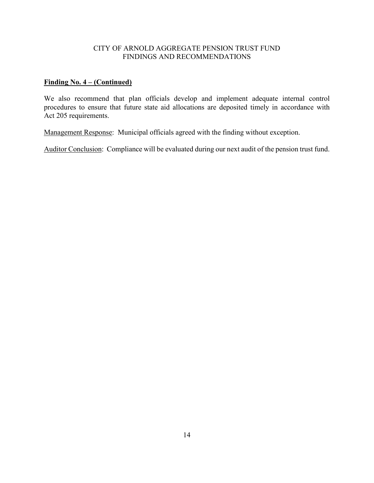## **Finding No. 4 – (Continued)**

We also recommend that plan officials develop and implement adequate internal control procedures to ensure that future state aid allocations are deposited timely in accordance with Act 205 requirements.

Management Response: Municipal officials agreed with the finding without exception.

Auditor Conclusion: Compliance will be evaluated during our next audit of the pension trust fund.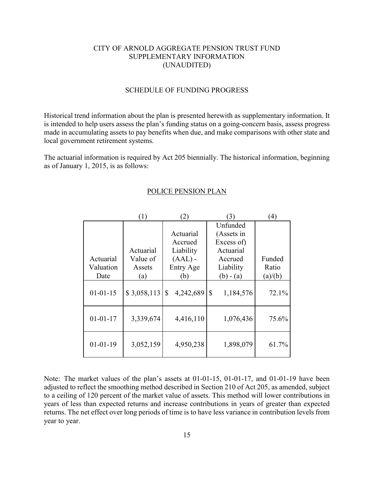#### SCHEDULE OF FUNDING PROGRESS

Historical trend information about the plan is presented herewith as supplementary information. It is intended to help users assess the plan's funding status on a going-concern basis, assess progress made in accumulating assets to pay benefits when due, and make comparisons with other state and local government retirement systems.

The actuarial information is required by Act 205 biennially. The historical information, beginning as of January 1, 2015, is as follows:

|                | (1)         | (2)             | 3)              | $\left( 4\right)$ |
|----------------|-------------|-----------------|-----------------|-------------------|
|                |             |                 | Unfunded        |                   |
|                |             | Actuarial       | (Assets in      |                   |
|                |             | Accrued         | Excess of)      |                   |
|                | Actuarial   | Liability       | Actuarial       |                   |
| Actuarial      | Value of    | $(AAL)$ -       | Accrued         | Funded            |
| Valuation      | Assets      | Entry Age       | Liability       | Ratio             |
| Date           | (a)         | (b)             | $(b) - (a)$     | (a)/(b)           |
| $01 - 01 - 15$ | \$3,058,113 | \$<br>4,242,689 | \$<br>1,184,576 | 72.1%             |
| $01 - 01 - 17$ | 3,339,674   | 4,416,110       | 1,076,436       | 75.6%             |
| $01-01-19$     | 3,052,159   | 4,950,238       | 1,898,079       | 61.7%             |

#### POLICE PENSION PLAN

Note: The market values of the plan's assets at 01-01-15, 01-01-17, and 01-01-19 have been adjusted to reflect the smoothing method described in Section 210 of Act 205, as amended, subject to a ceiling of 120 percent of the market value of assets. This method will lower contributions in years of less than expected returns and increase contributions in years of greater than expected returns. The net effect over long periods of time is to have less variance in contribution levels from year to year.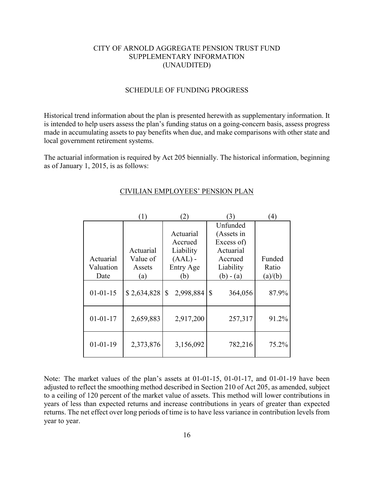#### SCHEDULE OF FUNDING PROGRESS

Historical trend information about the plan is presented herewith as supplementary information. It is intended to help users assess the plan's funding status on a going-concern basis, assess progress made in accumulating assets to pay benefits when due, and make comparisons with other state and local government retirement systems.

The actuarial information is required by Act 205 biennially. The historical information, beginning as of January 1, 2015, is as follows:

|                | (1)         | $\mathbf{2}$    | (3)           | $\left(4\right)$ |
|----------------|-------------|-----------------|---------------|------------------|
|                |             |                 | Unfunded      |                  |
|                |             | Actuarial       | (Assets in    |                  |
|                |             | Accrued         | Excess of)    |                  |
|                | Actuarial   | Liability       | Actuarial     |                  |
| Actuarial      | Value of    | $(AAL)$ -       | Accrued       | Funded           |
| Valuation      | Assets      | Entry Age       | Liability     | Ratio            |
| Date           | (a)         | (b)             | $(b) - (a)$   | (a)/(b)          |
| $01 - 01 - 15$ | \$2,634,828 | 2,998,884<br>\$ | \$<br>364,056 | 87.9%            |
| $01 - 01 - 17$ | 2,659,883   | 2,917,200       | 257,317       | 91.2%            |
| $01 - 01 - 19$ | 2,373,876   | 3,156,092       | 782,216       | 75.2%            |

#### CIVILIAN EMPLOYEES' PENSION PLAN

Note: The market values of the plan's assets at 01-01-15, 01-01-17, and 01-01-19 have been adjusted to reflect the smoothing method described in Section 210 of Act 205, as amended, subject to a ceiling of 120 percent of the market value of assets. This method will lower contributions in years of less than expected returns and increase contributions in years of greater than expected returns. The net effect over long periods of time is to have less variance in contribution levels from year to year.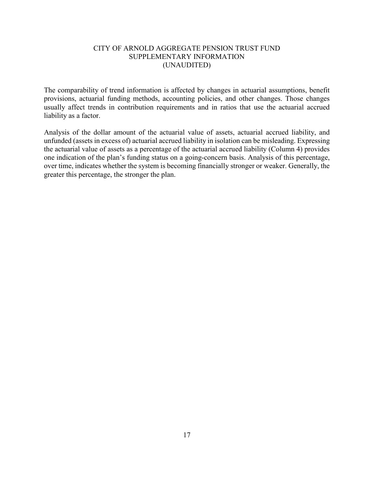The comparability of trend information is affected by changes in actuarial assumptions, benefit provisions, actuarial funding methods, accounting policies, and other changes. Those changes usually affect trends in contribution requirements and in ratios that use the actuarial accrued liability as a factor.

Analysis of the dollar amount of the actuarial value of assets, actuarial accrued liability, and unfunded (assets in excess of) actuarial accrued liability in isolation can be misleading. Expressing the actuarial value of assets as a percentage of the actuarial accrued liability (Column 4) provides one indication of the plan's funding status on a going-concern basis. Analysis of this percentage, over time, indicates whether the system is becoming financially stronger or weaker. Generally, the greater this percentage, the stronger the plan.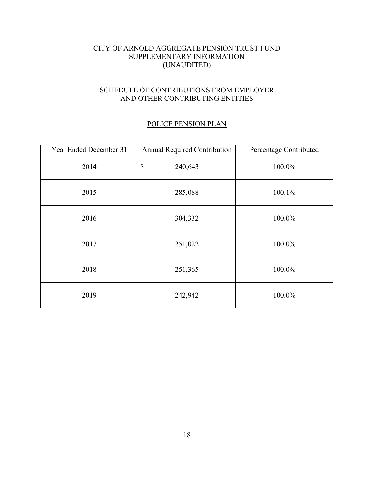## SCHEDULE OF CONTRIBUTIONS FROM EMPLOYER AND OTHER CONTRIBUTING ENTITIES

## POLICE PENSION PLAN

| Year Ended December 31 | <b>Annual Required Contribution</b>  | Percentage Contributed |
|------------------------|--------------------------------------|------------------------|
| 2014                   | $\boldsymbol{\mathsf{S}}$<br>240,643 | 100.0%                 |
| 2015                   | 285,088                              | 100.1%                 |
| 2016                   | 304,332                              | 100.0%                 |
| 2017                   | 251,022                              | 100.0%                 |
| 2018                   | 251,365                              | 100.0%                 |
| 2019                   | 242,942                              | 100.0%                 |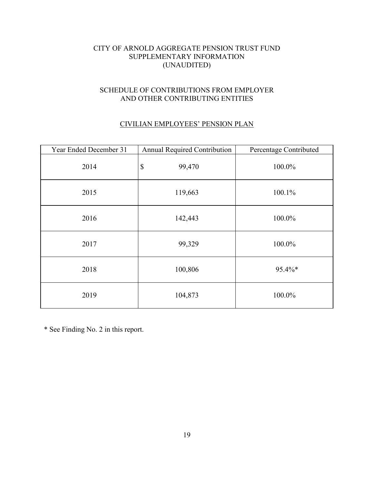## SCHEDULE OF CONTRIBUTIONS FROM EMPLOYER AND OTHER CONTRIBUTING ENTITIES

# CIVILIAN EMPLOYEES' PENSION PLAN

| Year Ended December 31 | Annual Required Contribution        | Percentage Contributed |
|------------------------|-------------------------------------|------------------------|
| 2014                   | $\boldsymbol{\mathsf{S}}$<br>99,470 | 100.0%                 |
| 2015                   | 119,663                             | 100.1%                 |
| 2016                   | 142,443                             | 100.0%                 |
| 2017                   | 99,329                              | 100.0%                 |
| 2018                   | 100,806                             | 95.4%*                 |
| 2019                   | 104,873                             | 100.0%                 |

\* See Finding No. 2 in this report.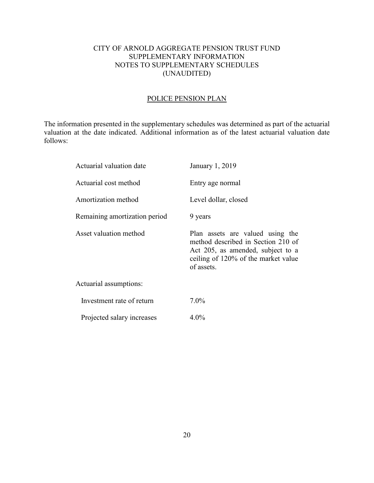## CITY OF ARNOLD AGGREGATE PENSION TRUST FUND SUPPLEMENTARY INFORMATION NOTES TO SUPPLEMENTARY SCHEDULES (UNAUDITED)

# POLICE PENSION PLAN

The information presented in the supplementary schedules was determined as part of the actuarial valuation at the date indicated. Additional information as of the latest actuarial valuation date follows:

| Actuarial valuation date      | January 1, 2019                                                                                                                                                  |
|-------------------------------|------------------------------------------------------------------------------------------------------------------------------------------------------------------|
| Actuarial cost method         | Entry age normal                                                                                                                                                 |
| Amortization method           | Level dollar, closed                                                                                                                                             |
| Remaining amortization period | 9 years                                                                                                                                                          |
| Asset valuation method        | Plan assets are valued using the<br>method described in Section 210 of<br>Act 205, as amended, subject to a<br>ceiling of 120% of the market value<br>of assets. |
| Actuarial assumptions:        |                                                                                                                                                                  |
| Investment rate of return     | $7.0\%$                                                                                                                                                          |
| Projected salary increases    | $4.0\%$                                                                                                                                                          |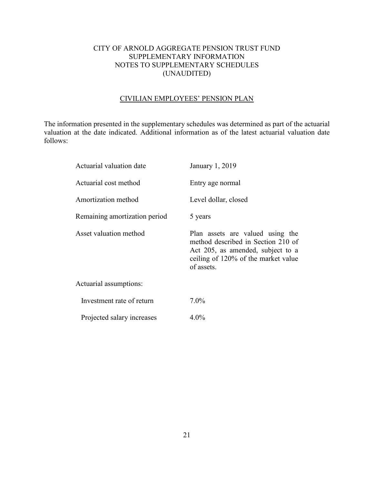## CITY OF ARNOLD AGGREGATE PENSION TRUST FUND SUPPLEMENTARY INFORMATION NOTES TO SUPPLEMENTARY SCHEDULES (UNAUDITED)

## CIVILIAN EMPLOYEES' PENSION PLAN

The information presented in the supplementary schedules was determined as part of the actuarial valuation at the date indicated. Additional information as of the latest actuarial valuation date follows:

| Actuarial valuation date      | January 1, 2019                                                                                                                                                  |
|-------------------------------|------------------------------------------------------------------------------------------------------------------------------------------------------------------|
| Actuarial cost method         | Entry age normal                                                                                                                                                 |
| Amortization method           | Level dollar, closed                                                                                                                                             |
| Remaining amortization period | 5 years                                                                                                                                                          |
| Asset valuation method        | Plan assets are valued using the<br>method described in Section 210 of<br>Act 205, as amended, subject to a<br>ceiling of 120% of the market value<br>of assets. |
| Actuarial assumptions:        |                                                                                                                                                                  |
| Investment rate of return     | $7.0\%$                                                                                                                                                          |
| Projected salary increases    | $4.0\%$                                                                                                                                                          |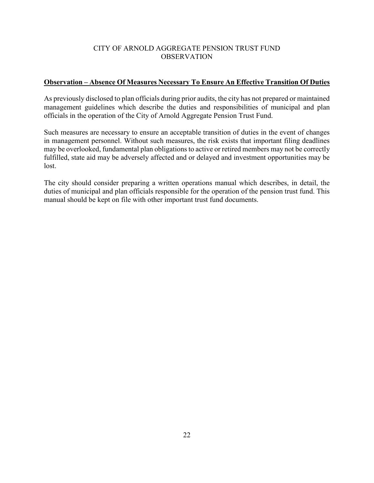## CITY OF ARNOLD AGGREGATE PENSION TRUST FUND **OBSERVATION**

# **Observation – Absence Of Measures Necessary To Ensure An Effective Transition Of Duties**

As previously disclosed to plan officials during prior audits, the city has not prepared or maintained management guidelines which describe the duties and responsibilities of municipal and plan officials in the operation of the City of Arnold Aggregate Pension Trust Fund.

Such measures are necessary to ensure an acceptable transition of duties in the event of changes in management personnel. Without such measures, the risk exists that important filing deadlines may be overlooked, fundamental plan obligations to active or retired members may not be correctly fulfilled, state aid may be adversely affected and or delayed and investment opportunities may be lost.

The city should consider preparing a written operations manual which describes, in detail, the duties of municipal and plan officials responsible for the operation of the pension trust fund. This manual should be kept on file with other important trust fund documents.